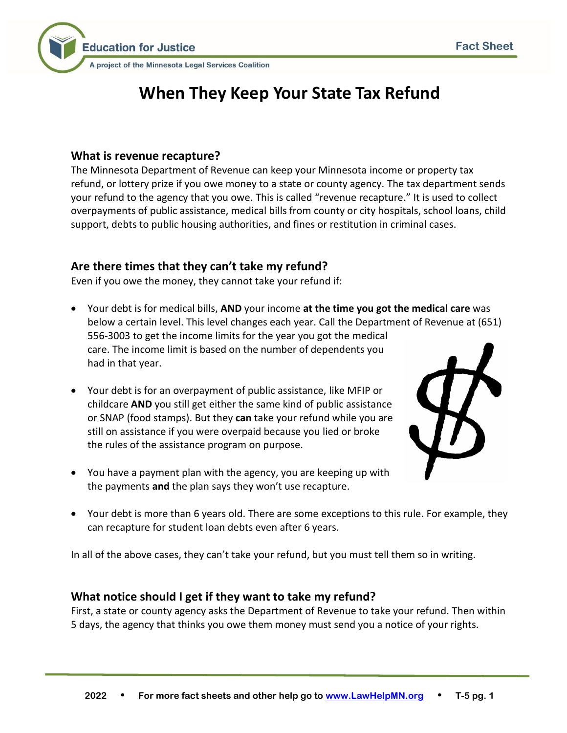

# **When They Keep Your State Tax Refund**

### **What is revenue recapture?**

The Minnesota Department of Revenue can keep your Minnesota income or property tax refund, or lottery prize if you owe money to a state or county agency. The tax department sends your refund to the agency that you owe. This is called "revenue recapture." It is used to collect overpayments of public assistance, medical bills from county or city hospitals, school loans, child support, debts to public housing authorities, and fines or restitution in criminal cases.

# **Are there times that they can't take my refund?**

Even if you owe the money, they cannot take your refund if:

- Your debt is for medical bills, **AND** your income **at the time you got the medical care** was below a certain level. This level changes each year. Call the Department of Revenue at (651) 556-3003 to get the income limits for the year you got the medical care. The income limit is based on the number of dependents you had in that year.
- Your debt is for an overpayment of public assistance, like MFIP or childcare **AND** you still get either the same kind of public assistance or SNAP (food stamps). But they **can** take your refund while you are still on assistance if you were overpaid because you lied or broke the rules of the assistance program on purpose.
- You have a payment plan with the agency, you are keeping up with the payments **and** the plan says they won't use recapture.



• Your debt is more than 6 years old. There are some exceptions to this rule. For example, they can recapture for student loan debts even after 6 years.

In all of the above cases, they can't take your refund, but you must tell them so in writing.

## **What notice should I get if they want to take my refund?**

First, a state or county agency asks the Department of Revenue to take your refund. Then within 5 days, the agency that thinks you owe them money must send you a notice of your rights.